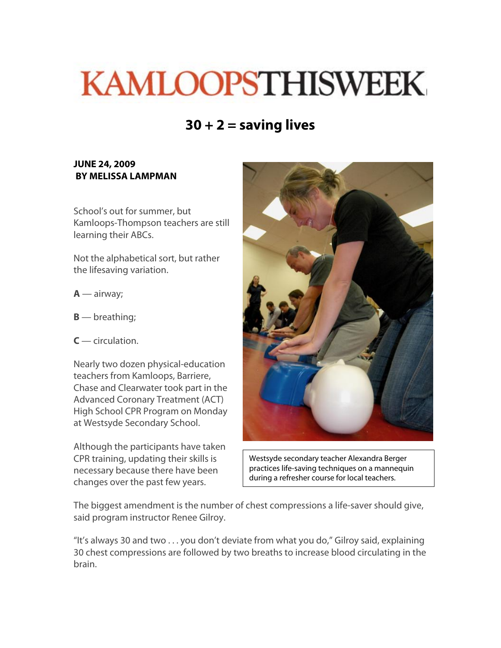## **KAMLOOPSTHISWEEK**

## **30 + 2 = saving lives**

## **JUNE 24, 2009 BY MELISSA LAMPMAN**

School's out for summer, but Kamloops-Thompson teachers are still learning their ABCs.

Not the alphabetical sort, but rather the lifesaving variation.

- **A** airway;
- **B** breathing;
- **C**  circulation.

Nearly two dozen physical-education teachers from Kamloops, Barriere, Chase and Clearwater took part in the Advanced Coronary Treatment (ACT) High School CPR Program on Monday at Westsyde Secondary School.

Although the participants have taken CPR training, updating their skills is necessary because there have been changes over the past few years.



Westsyde secondary teacher Alexandra Berger practices life-saving techniques on a mannequin during a refresher course for local teachers.

The biggest amendment is the number of chest compressions a life-saver should give, said program instructor Renee Gilroy.

"It's always 30 and two . . . you don't deviate from what you do," Gilroy said, explaining 30 chest compressions are followed by two breaths to increase blood circulating in the brain.